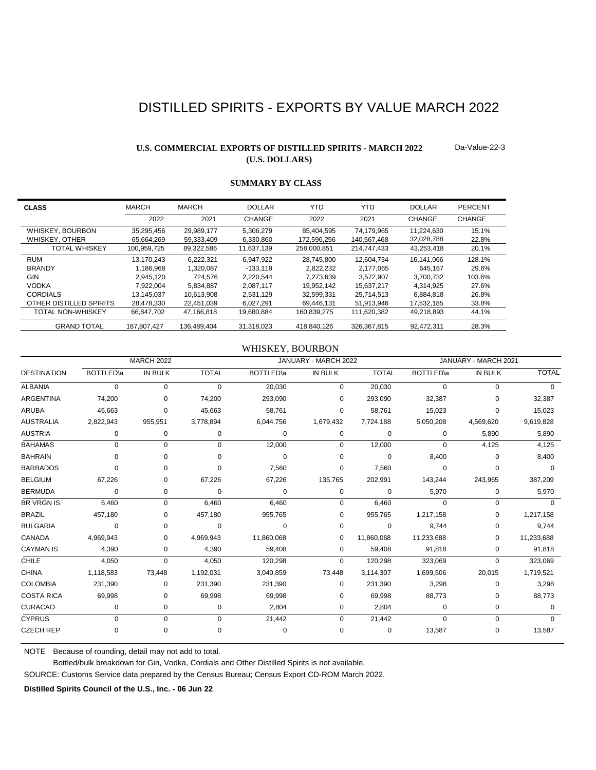# DISTILLED SPIRITS - EXPORTS BY VALUE MARCH 2022

# **U.S. COMMERCIAL EXPORTS OF DISTILLED SPIRITS - MARCH 2022 (U.S. DOLLARS)**

Da-Value-22-3

| <b>CLASS</b>             | <b>MARCH</b> | MARCH       | <b>DOLLAR</b> | YTD         | YTD         | <b>DOLLAR</b> | PERCENT |
|--------------------------|--------------|-------------|---------------|-------------|-------------|---------------|---------|
|                          | 2022         | 2021        | CHANGE        | 2022        | 2021        | CHANGE        | CHANGE  |
| WHISKEY, BOURBON         | 35.295.456   | 29.989.177  | 5,306,279     | 85.404.595  | 74.179.965  | 11.224.630    | 15.1%   |
| WHISKEY, OTHER           | 65.664.269   | 59.333.409  | 6.330.860     | 172.596.256 | 140.567.468 | 32.028.788    | 22.8%   |
| <b>TOTAL WHISKEY</b>     | 100.959.725  | 89.322.586  | 11.637.139    | 258.000.851 | 214.747.433 | 43.253.418    | 20.1%   |
| <b>RUM</b>               | 13.170.243   | 6.222.321   | 6.947.922     | 28.745.800  | 12.604.734  | 16.141.066    | 128.1%  |
| <b>BRANDY</b>            | 1.186.968    | 1.320.087   | $-133.119$    | 2,822,232   | 2.177.065   | 645.167       | 29.6%   |
| GIN                      | 2.945.120    | 724.576     | 2.220.544     | 7.273.639   | 3.572.907   | 3.700.732     | 103.6%  |
| <b>VODKA</b>             | 7.922.004    | 5.834.887   | 2,087,117     | 19.952.142  | 15.637.217  | 4.314.925     | 27.6%   |
| <b>CORDIALS</b>          | 13.145.037   | 10.613.908  | 2.531.129     | 32.599.331  | 25.714.513  | 6.884.818     | 26.8%   |
| OTHER DISTILLED SPIRITS  | 28.478.330   | 22.451.039  | 6.027.291     | 69.446.131  | 51.913.946  | 17,532,185    | 33.8%   |
| <b>TOTAL NON-WHISKEY</b> | 66.847.702   | 47.166.818  | 19.680.884    | 160.839.275 | 111.620.382 | 49.218.893    | 44.1%   |
| <b>GRAND TOTAL</b>       | 167.807.427  | 136.489.404 | 31.318.023    | 418.840.126 | 326.367.815 | 92.472.311    | 28.3%   |

# **SUMMARY BY CLASS**

### WHISKEY, BOURBON

|                    |                   | <b>MARCH 2022</b> |              |                   | JANUARY - MARCH 2022 |              |                   | JANUARY - MARCH 2021 |              |
|--------------------|-------------------|-------------------|--------------|-------------------|----------------------|--------------|-------------------|----------------------|--------------|
| <b>DESTINATION</b> | <b>BOTTLED</b> \a | <b>IN BULK</b>    | <b>TOTAL</b> | <b>BOTTLED</b> \a | <b>IN BULK</b>       | <b>TOTAL</b> | <b>BOTTLED</b> \a | <b>IN BULK</b>       | <b>TOTAL</b> |
| <b>ALBANIA</b>     | 0                 | 0                 | $\mathbf 0$  | 20,030            | 0                    | 20,030       | $\Omega$          | $\Omega$             | $\Omega$     |
| ARGENTINA          | 74,200            | 0                 | 74,200       | 293,090           | 0                    | 293,090      | 32,387            | O                    | 32,387       |
| <b>ARUBA</b>       | 45,663            | 0                 | 45,663       | 58,761            | 0                    | 58,761       | 15,023            | $\Omega$             | 15,023       |
| <b>AUSTRALIA</b>   | 2,822,943         | 955,951           | 3,778,894    | 6,044,756         | 1,679,432            | 7,724,188    | 5,050,208         | 4,569,620            | 9,619,828    |
| <b>AUSTRIA</b>     | 0                 | 0                 | 0            | 0                 | 0                    | 0            | 0                 | 5,890                | 5,890        |
| <b>BAHAMAS</b>     | $\Omega$          | 0                 | $\Omega$     | 12,000            | 0                    | 12,000       | $\Omega$          | 4,125                | 4,125        |
| <b>BAHRAIN</b>     | $\Omega$          | 0                 | $\Omega$     | 0                 | $\Omega$             | $\Omega$     | 8,400             | $\Omega$             | 8,400        |
| <b>BARBADOS</b>    | 0                 | 0                 | $\Omega$     | 7,560             | 0                    | 7,560        | $\Omega$          | $\Omega$             | $\Omega$     |
| <b>BELGIUM</b>     | 67,226            | 0                 | 67,226       | 67,226            | 135,765              | 202,991      | 143,244           | 243,965              | 387,209      |
| <b>BERMUDA</b>     | 0                 | 0                 | 0            | 0                 | 0                    | 0            | 5,970             | 0                    | 5,970        |
| <b>BR VRGN IS</b>  | 6,460             | 0                 | 6,460        | 6,460             | 0                    | 6,460        | $\Omega$          | $\Omega$             | 0            |
| <b>BRAZIL</b>      | 457,180           | 0                 | 457,180      | 955,765           | 0                    | 955,765      | 1,217,158         | 0                    | 1,217,158    |
| <b>BULGARIA</b>    | $\Omega$          | 0                 | $\Omega$     | $\Omega$          | 0                    | $\Omega$     | 9,744             | $\Omega$             | 9,744        |
| CANADA             | 4,969,943         | 0                 | 4,969,943    | 11,860,068        | 0                    | 11,860,068   | 11,233,688        | 0                    | 11,233,688   |
| <b>CAYMAN IS</b>   | 4,390             | 0                 | 4,390        | 59,408            | 0                    | 59,408       | 91,818            | 0                    | 91,818       |
| <b>CHILE</b>       | 4,050             | $\Omega$          | 4,050        | 120,298           | $\Omega$             | 120,298      | 323,069           | $\Omega$             | 323,069      |
| <b>CHINA</b>       | 1,118,583         | 73,448            | 1,192,031    | 3,040,859         | 73,448               | 3,114,307    | 1,699,506         | 20,015               | 1,719,521    |
| <b>COLOMBIA</b>    | 231,390           | 0                 | 231,390      | 231,390           | 0                    | 231,390      | 3,298             | 0                    | 3,298        |
| <b>COSTA RICA</b>  | 69,998            | 0                 | 69,998       | 69,998            | 0                    | 69,998       | 88,773            | 0                    | 88,773       |
| <b>CURACAO</b>     | 0                 | 0                 | 0            | 2,804             | 0                    | 2,804        | 0                 | 0                    | $\Omega$     |
| <b>CYPRUS</b>      | $\Omega$          | 0                 | $\mathbf 0$  | 21,442            | 0                    | 21,442       | $\Omega$          | $\mathbf 0$          | $\Omega$     |
| <b>CZECH REP</b>   | 0                 | 0                 | 0            | 0                 | 0                    | 0            | 13,587            | 0                    | 13,587       |

NOTE Because of rounding, detail may not add to total.

Bottled/bulk breakdown for Gin, Vodka, Cordials and Other Distilled Spirits is not available.

SOURCE: Customs Service data prepared by the Census Bureau; Census Export CD-ROM March 2022.

**Distilled Spirits Council of the U.S., Inc. - 06 Jun 22**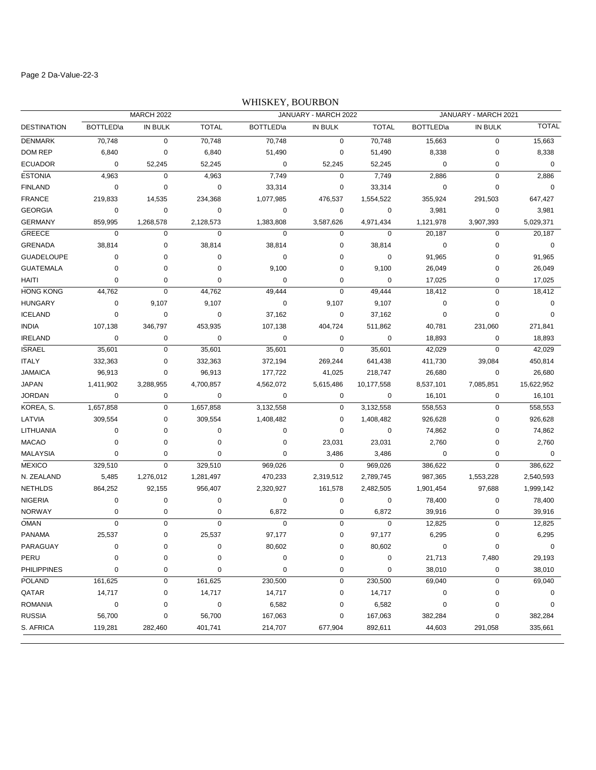### Page 2 Da-Value-22-3

# DESTINATION BOTTLED\a IN BULK TOTAL BOTTLED\a IN BULK TOTAL BOTTLED\a IN BULK TOTAL MARCH 2022 JANUARY - MARCH 2022 JANUARY - MARCH 2021 DENMARK 70,748 0 70,748 70,748 0 70,748 15,663 0 15,663 DOM REP 6,840 0 6,840 51,490 0 51,490 8,338 0 8,338 ECUADOR 0 52,245 52,245 0 52,245 52,245 0 0 0 ESTONIA 4,963 0 4,963 7,749 0 7,749 2,886 0 2,886 FINLAND 0 0 33,314 0 33,314 0 0 FRANCE 219,833 14,535 234,368 1,077,985 476,537 1,554,522 355,924 291,503 647,427 GEORGIA 0 0 0 0 0 0 3,981 0 3,981 GERMANY 859,995 1,268,578 2,128,573 1,383,808 3,587,626 4,971,434 1,121,978 3,907,393 5,029,371 GREECE 0 0 0 0 0 0 20,187 0 20,187 GRENADA 38,814 0 38,814 38,814 0 38,814 0 0 0 GUADELOUPE 0 0 0 0 0 0 0 91,965 0 91,965 GUATEMALA 0 0 0 9,100 0 9,100 26,049 0 26,049 HAITI 0 0 0 0 0 0 17,025 0 17,025 HONG KONG 44,762 0 44,762 49,444 0 49,444 18,412 0 18,412 HUNGARY 0 9,107 9,107 0 9,107 9,107 0 0 0 ICELAND 0 0 0 37,162 0 37,162 0 0 0 INDIA 107,138 346,797 453,935 107,138 404,724 511,862 40,781 231,060 271,841 IRELAND 0 0 0 0 0 0 18,893 0 18,893 ISRAEL 35,601 0 35,601 35,601 0 35,601 42,029 0 42,029 ITALY 332,363 0 332,363 372,194 269,244 641,438 411,730 39,084 450,814 JAMAICA 96,913 0 96,913 177,722 41,025 218,747 26,680 0 26,680 JAPAN 1,411,902 3,288,955 4,700,857 4,562,072 5,615,486 10,177,558 8,537,101 7,085,851 15,622,952 JORDAN 0 0 0 0 0 0 16,101 0 16,101 KOREA, S. 1,657,858 0 1,657,858 3,132,558 0 3,132,558 558,553 0 558,553 LATVIA 309,554 0 309,554 1,408,482 0 1,408,482 926,628 0 926,628 LITHUANIA 0 0 0 0 0 0 74,862 0 74,862 MACAO 0 0 0 0 23,031 23,031 2,760 0 2,760 MALAYSIA 0 0 0 3,486 3,486 0 0 MEXICO 329,510 0 329,510 969,026 0 969,026 386,622 0 386,622 N. ZEALAND 5,485 1,276,012 1,281,497 470,233 2,319,512 2,789,745 987,365 1,553,228 2,540,593 NETHLDS 864,252 92,155 956,407 2,320,927 161,578 2,482,505 1,901,454 97,688 1,999,142 NIGERIA 0 0 0 0 0 0 78,400 0 78,400 NORWAY 0 0 0 6,872 0 6,872 39,916 0 39,916 OMAN 0 0 0 0 0 0 12,825 0 12,825 PANAMA 25,537 0 25,537 97,177 0 97,177 6,295 0 6,295 PARAGUAY 0 0 0 80,602 0 80,602 0 0 0 PERU 0 0 0 0 0 0 21,713 7,480 29,193 PHILIPPINES 0 0 0 0 0 0 38,010 0 38,010 POLAND 161,625 0 161,625 230,500 0 230,500 69,040 0 69,040 QATAR 14,717 0 14,717 14,717 0 14,717 0 0 0 ROMANIA 0 0 0 6,582 0 6,582 0 0 0 RUSSIA 56,700 0 56,700 167,063 0 167,063 382,284 0 382,284

S. AFRICA 119,281 282,460 401,741 214,707 677,904 892,611 44,603 291,058 335,661

### WHISKEY, BOURBON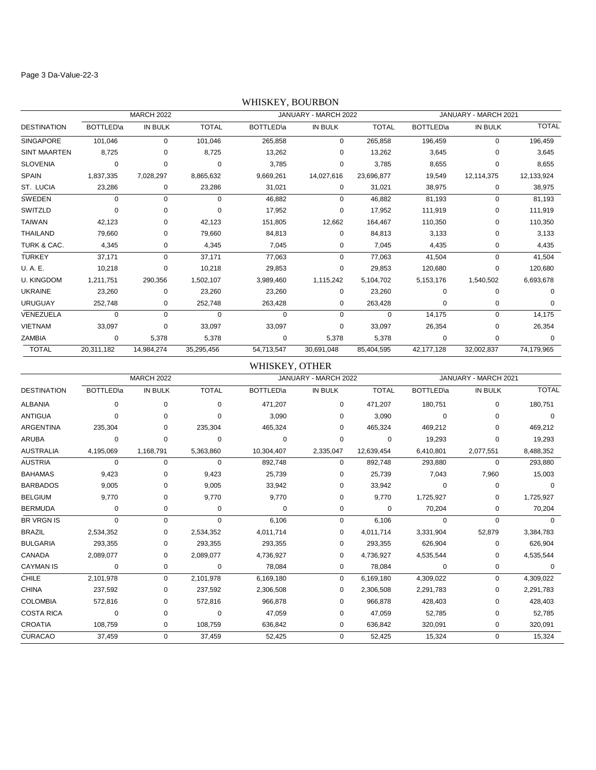#### Page 3 Da-Value-22-3

# DESTINATION BOTTLED\a IN BULK TOTAL BOTTLED\a IN BULK TOTAL BOTTLED\a IN BULK TOTAL MARCH 2022 JANUARY - MARCH 2022 JANUARY - MARCH 2021 SINGAPORE 101,046 0 101,046 265,858 0 265,858 196,459 0 196,459 SINT MAARTEN 8,725 0 8,725 13,262 0 13,262 3,645 0 3,645 SLOVENIA 0 0 0 3,785 0 3,785 8,655 0 8,655 SPAIN 1,837,335 7,028,297 8,865,632 9,669,261 14,027,616 23,696,877 19,549 12,114,375 12,133,924 ST. LUCIA 23,286 0 23,286 31,021 0 31,021 38,975 0 38,975 SWEDEN 0 0 0 46,882 0 46,882 81,193 0 81,193 SWITZLD 0 0 0 17,952 0 17,952 111,919 0 111,919 TAIWAN 42,123 0 42,123 151,805 12,662 164,467 110,350 0 110,350 THAILAND 79,660 0 79,660 84,813 0 84,813 3,133 0 3,133 TURK & CAC. 4,345 0 4,345 7,045 0 7,045 4,435 0 4,435 TURKEY 37,171 0 37,171 77,063 0 77,063 41,504 0 41,504 U. A. E. 10,218 0 10,218 29,853 0 29,853 120,680 0 120,680 U. KINGDOM 1,211,751 290,356 1,502,107 3,989,460 1,115,242 5,104,702 5,153,176 1,540,502 6,693,678 UKRAINE 23,260 0 23,260 23,260 0 23,260 0 0 0 URUGUAY 252,748 0 252,748 263,428 0 263,428 0 0 0 VENEZUELA 0 0 0 0 0 0 14,175 0 14,175 VIETNAM 33,097 0 33,097 33,097 0 33,097 26,354 0 26,354 ZAMBIA 0 5,378 5,378 0 5,378 5,378 0 0 0 TOTAL 20,311,182 14,984,274 35,295,456 54,713,547 30,691,048 85,404,595 42,177,128 32,002,837 74,179,965

### WHISKEY, BOURBON

### WHISKEY, OTHER

|                    |                   | <b>MARCH 2022</b> |              |                   | JANUARY - MARCH 2022 |              |                   | JANUARY - MARCH 2021 |              |
|--------------------|-------------------|-------------------|--------------|-------------------|----------------------|--------------|-------------------|----------------------|--------------|
| <b>DESTINATION</b> | <b>BOTTLED</b> \a | <b>IN BULK</b>    | <b>TOTAL</b> | <b>BOTTLED</b> \a | IN BULK              | <b>TOTAL</b> | <b>BOTTLED</b> la | <b>IN BULK</b>       | <b>TOTAL</b> |
| <b>ALBANIA</b>     | 0                 | $\mathbf 0$       | 0            | 471,207           | 0                    | 471,207      | 180,751           | 0                    | 180,751      |
| <b>ANTIGUA</b>     | $\Omega$          | $\Omega$          | $\Omega$     | 3,090             | $\Omega$             | 3,090        | $\Omega$          | 0                    | $\Omega$     |
| <b>ARGENTINA</b>   | 235,304           | 0                 | 235,304      | 465,324           | 0                    | 465,324      | 469,212           |                      | 469,212      |
| <b>ARUBA</b>       | 0                 | $\Omega$          | $\Omega$     | $\Omega$          | 0                    | $\Omega$     | 19,293            | 0                    | 19,293       |
| <b>AUSTRALIA</b>   | 4,195,069         | 1,168,791         | 5,363,860    | 10,304,407        | 2,335,047            | 12,639,454   | 6,410,801         | 2,077,551            | 8,488,352    |
| <b>AUSTRIA</b>     | 0                 | $\mathbf 0$       | 0            | 892,748           | 0                    | 892,748      | 293,880           | 0                    | 293,880      |
| <b>BAHAMAS</b>     | 9,423             | 0                 | 9,423        | 25,739            | $\Omega$             | 25,739       | 7,043             | 7,960                | 15,003       |
| <b>BARBADOS</b>    | 9,005             | 0                 | 9,005        | 33,942            | $\Omega$             | 33,942       | $\Omega$          | 0                    | $\Omega$     |
| <b>BELGIUM</b>     | 9,770             | 0                 | 9,770        | 9,770             | $\Omega$             | 9,770        | 1,725,927         | 0                    | 1,725,927    |
| <b>BERMUDA</b>     | 0                 | 0                 | 0            | 0                 | 0                    | 0            | 70,204            | 0                    | 70,204       |
| <b>BR VRGN IS</b>  | $\Omega$          | $\mathbf 0$       | 0            | 6.106             | 0                    | 6,106        | $\Omega$          | $\Omega$             |              |
| <b>BRAZIL</b>      | 2,534,352         | 0                 | 2,534,352    | 4,011,714         | 0                    | 4,011,714    | 3,331,904         | 52,879               | 3,384,783    |
| <b>BULGARIA</b>    | 293,355           | 0                 | 293,355      | 293,355           | 0                    | 293,355      | 626,904           | 0                    | 626,904      |
| CANADA             | 2,089,077         | 0                 | 2,089,077    | 4,736,927         | 0                    | 4,736,927    | 4,535,544         | 0                    | 4,535,544    |
| <b>CAYMAN IS</b>   | 0                 | 0                 | 0            | 78,084            | 0                    | 78,084       | $\Omega$          | 0                    | 0            |
| <b>CHILE</b>       | 2,101,978         | $\mathbf 0$       | 2,101,978    | 6,169,180         | 0                    | 6,169,180    | 4,309,022         | 0                    | 4,309,022    |
| <b>CHINA</b>       | 237,592           | 0                 | 237,592      | 2,306,508         | 0                    | 2,306,508    | 2,291,783         | 0                    | 2,291,783    |
| <b>COLOMBIA</b>    | 572,816           | 0                 | 572,816      | 966,878           | 0                    | 966,878      | 428,403           | 0                    | 428,403      |
| <b>COSTA RICA</b>  | 0                 | 0                 | $\Omega$     | 47,059            | 0                    | 47,059       | 52,785            | 0                    | 52,785       |
| <b>CROATIA</b>     | 108,759           | 0                 | 108,759      | 636,842           | 0                    | 636,842      | 320,091           | 0                    | 320,091      |
| <b>CURACAO</b>     | 37,459            | 0                 | 37,459       | 52,425            | 0                    | 52,425       | 15,324            | 0                    | 15,324       |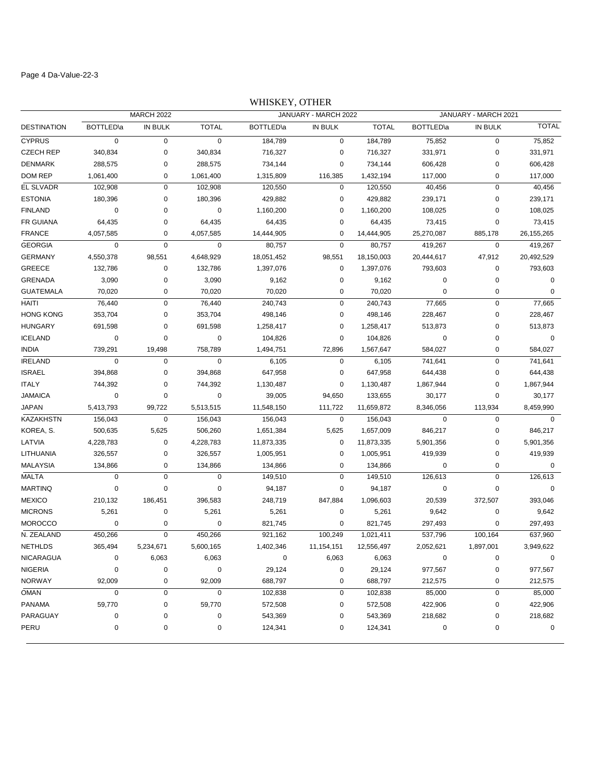#### Page 4 Da-Value-22-3

# DESTINATION BOTTLED\a IN BULK TOTAL BOTTLED\a IN BULK TOTAL BOTTLED\a IN BULK TOTAL MARCH 2022 JANUARY - MARCH 2022 JANUARY - MARCH 2021 CYPRUS 0 0 0 184,789 0 184,789 75,852 0 75,852 CZECH REP 340,834 0 340,834 716,327 0 716,327 331,971 0 331,971 DENMARK 288,575 0 288,575 734,144 0 734,144 606,428 0 606,428 DOM REP 1,061,400 0 1,061,400 1,315,809 116,385 1,432,194 117,000 0 117,000 EL SLVADR 102,908 0 102,908 120,550 0 120,550 40,456 0 40,456 ESTONIA 180,396 0 180,396 429,882 0 429,882 239,171 0 239,171 FINLAND 0 0 0 1,160,200 0 1,160,200 108,025 0 108,025 FR GUIANA 64,435 0 64,435 64,435 0 64,435 73,415 0 73,415 FRANCE 4,057,585 0 4,057,585 14,444,905 0 14,444,905 25,270,087 885,178 26,155,265 GEORGIA 0 0 0 80,757 0 80,757 419,267 0 419,267 GERMANY 4,550,378 98,551 4,648,929 18,051,452 98,551 18,150,003 20,444,617 47,912 20,492,529 GREECE 132,786 0 132,786 1,397,076 0 1,397,076 793,603 0 793,603 GRENADA 3,090 0 3,090 9,162 0 9,162 0 0 0 GUATEMALA 70,020 0 70,020 70,020 0 70,020 0 0 0 HAITI 76,440 0 76,440 240,743 0 240,743 77,665 0 77,665 HONG KONG 353,704 0 353,704 498,146 0 498,146 228,467 0 228,467 HUNGARY 691,598 0 691,598 1,258,417 0 1,258,417 513,873 0 513,873 ICELAND 0 0 0 104,826 0 104,826 0 0 0 INDIA 739,291 19,498 758,789 1,494,751 72,896 1,567,647 584,027 0 584,027 IRELAND 0 0 0 6,105 0 6,105 741,641 0 741,641 ISRAEL 394,868 0 394,868 647,958 0 647,958 644,438 0 644,438 ITALY 744,392 0 744,392 1,130,487 0 1,130,487 1,867,944 0 1,867,944 JAMAICA 0 0 0 39,005 94,650 133,655 30,177 0 30,177 JAPAN 5,413,793 99,722 5,513,515 11,548,150 111,722 11,659,872 8,346,056 113,934 8,459,990 KAZAKHSTN 156,043 0 156,043 156,043 0 156,043 0 0 0 KOREA, S. 500,635 5,625 506,260 1,651,384 5,625 1,657,009 846,217 0 846,217 LATVIA 4,228,783 0 4,228,783 11,873,335 0 11,873,335 5,901,356 0 5,901,356 LITHUANIA 326,557 0 326,557 1,005,951 0 1,005,951 419,939 0 419,939 MALAYSIA 134,866 0 134,866 134,866 0 134,866 0 0 MALTA 0 0 0 149,510 0 149,510 126,613 0 126,613 MARTINQ 0 0 0 94,187 0 94,187 0 0 0 MEXICO 210,132 186,451 396,583 248,719 847,884 1,096,603 20,539 372,507 393,046 MICRONS 5,261 0 5,261 5,261 0 5,261 9,642 0 9,642 MOROCCO 0 0 0 821,745 0 821,745 297,493 0 297,493 N. ZEALAND 450,266 0 450,266 921,162 100,249 1,021,411 537,796 100,164 637,960 NETHLDS 365,494 5,234,671 5,600,165 1,402,346 11,154,151 12,556,497 2,052,621 1,897,001 3,949,622

NICARAGUA 0 6,063 6,063 0 6,063 6,063 0 0 0 NIGERIA 0 0 0 29,124 0 29,124 977,567 0 977,567 NORWAY 92,009 0 92,009 688,797 0 688,797 212,575 0 212,575 OMAN 0 0 0 102,838 0 102,838 85,000 0 85,000 PANAMA 59,770 0 59,770 572,508 0 572,508 422,906 0 422,906 PARAGUAY 0 0 0 543,369 0 543,369 218,682 0 218,682 PERU 0 0 124,341 0 124,341 0 0

WHISKEY, OTHER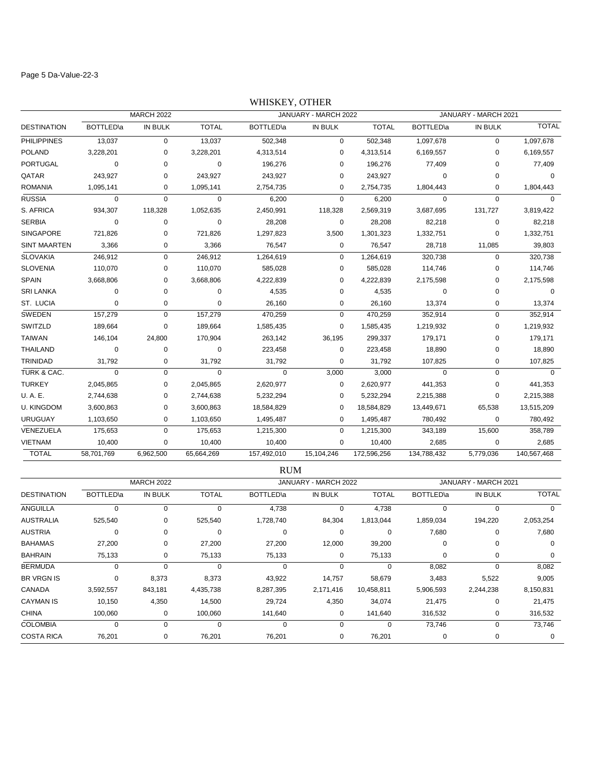#### Page 5 Da-Value-22-3

# DESTINATION BOTTLED\a IN BULK TOTAL BOTTLED\a IN BULK TOTAL BOTTLED\a IN BULK TOTAL MARCH 2022 JANUARY - MARCH 2022 JANUARY - MARCH 2021 PHILIPPINES 13,037 0 13,037 502,348 0 502,348 1,097,678 0 1,097,678 POLAND 3,228,201 0 3,228,201 4,313,514 0 4,313,514 6,169,557 0 6,169,557 PORTUGAL 0 0 0 196,276 0 196,276 77,409 0 77,409 QATAR 243,927 0 243,927 243,927 0 243,927 0 0 0 ROMANIA 1,095,141 0 1,095,141 2,754,735 0 2,754,735 1,804,443 0 1,804,443 RUSSIA 0 0 0 6,200 0 6,200 0 0 0 S. AFRICA 934,307 118,328 1,052,635 2,450,991 118,328 2,569,319 3,687,695 131,727 3,819,422 SERBIA 0 0 0 28,208 0 28,208 82,218 0 82,218 SINGAPORE 721,826 0 721,826 1,297,823 3,500 1,301,323 1,332,751 0 1,332,751 SINT MAARTEN 3,366 0 3,366 76,547 0 76,547 28,718 11,085 39,803 SLOVAKIA 246,912 0 246,912 1,264,619 0 1,264,619 320,738 0 320,738 SLOVENIA 110,070 0 110,070 585,028 0 585,028 114,746 0 114,746 SPAIN 3,668,806 0 3,668,806 4,222,839 0 4,222,839 2,175,598 0 2,175,598 SRI LANKA 0 0 0 4,535 0 4,535 0 0 0 ST. LUCIA 0 0 0 26,160 0 26,160 13,374 0 13,374 SWEDEN 157,279 0 157,279 470,259 0 470,259 352,914 0 352,914 SWITZLD 189,664 0 189,664 1,585,435 0 1,585,435 1,219,932 0 1,219,932 TAIWAN 146,104 24,800 170,904 263,142 36,195 299,337 179,171 0 179,171 THAILAND 0 0 0 223,458 0 223,458 18,890 0 18,890 TRINIDAD 31,792 0 31,792 31,792 0 31,792 107,825 0 107,825 TURK & CAC. 0 0 0 0 3,000 3,000 0 0 0 TURKEY 2,045,865 0 2,045,865 2,620,977 0 2,620,977 441,353 0 441,353 U. A. E. 2,744,638 0 2,744,638 5,232,294 0 5,232,294 2,215,388 0 2,215,388 U. KINGDOM 3,600,863 0 3,600,863 18,584,829 0 18,584,829 13,449,671 65,538 13,515,209 URUGUAY 1,103,650 0 1,103,650 1,495,487 0 1,495,487 780,492 0 780,492 VENEZUELA 175,653 0 175,653 1,215,300 0 1,215,300 343,189 15,600 358,789 VIETNAM 10,400 0 10,400 10,400 0 10,400 2,685 0 2,685 TOTAL 58,701,769 6,962,500 65,664,269 157,492,010 15,104,246 172,596,256 134,788,432 5,779,036 140,567,468

#### WHISKEY, OTHER

|                    |                   |         |              | <b>KUM</b>  |                      |              |           |                      |              |
|--------------------|-------------------|---------|--------------|-------------|----------------------|--------------|-----------|----------------------|--------------|
|                    | <b>MARCH 2022</b> |         |              |             | JANUARY - MARCH 2022 |              |           | JANUARY - MARCH 2021 |              |
| <b>DESTINATION</b> | BOTTLED\a         | IN BULK | <b>TOTAL</b> | BOTTLED\a   | IN BULK              | <b>TOTAL</b> | BOTTLED\a | IN BULK              | <b>TOTAL</b> |
| ANGUILLA           | $\Omega$          | 0       | $\Omega$     | 4,738       | 0                    | 4,738        | 0         | 0                    | 0            |
| <b>AUSTRALIA</b>   | 525,540           | 0       | 525,540      | 1,728,740   | 84,304               | 1,813,044    | 1,859,034 | 194,220              | 2,053,254    |
| <b>AUSTRIA</b>     | 0                 | 0       | 0            | 0           | 0                    | $\Omega$     | 7,680     | 0                    | 7,680        |
| <b>BAHAMAS</b>     | 27,200            | 0       | 27,200       | 27,200      | 12,000               | 39,200       | $\Omega$  | 0                    | $\Omega$     |
| <b>BAHRAIN</b>     | 75,133            | 0       | 75,133       | 75,133      | 0                    | 75,133       | 0         | 0                    | 0            |
| <b>BERMUDA</b>     | 0                 | 0       | $\Omega$     | $\mathbf 0$ | $\mathbf 0$          | 0            | 8,082     | 0                    | 8,082        |
| <b>BR VRGN IS</b>  | 0                 | 8,373   | 8,373        | 43,922      | 14,757               | 58,679       | 3,483     | 5,522                | 9,005        |
| CANADA             | 3,592,557         | 843,181 | 4,435,738    | 8,287,395   | 2,171,416            | 10,458,811   | 5,906,593 | 2,244,238            | 8,150,831    |
| <b>CAYMAN IS</b>   | 10,150            | 4,350   | 14,500       | 29,724      | 4,350                | 34,074       | 21,475    | 0                    | 21,475       |
| <b>CHINA</b>       | 100,060           | 0       | 100,060      | 141,640     | 0                    | 141,640      | 316,532   | 0                    | 316,532      |
| <b>COLOMBIA</b>    | 0                 | 0       | $\Omega$     | 0           | 0                    | 0            | 73,746    | 0                    | 73,746       |
| <b>COSTA RICA</b>  | 76,201            | 0       | 76,201       | 76,201      | 0                    | 76,201       |           |                      | 0            |

DID 4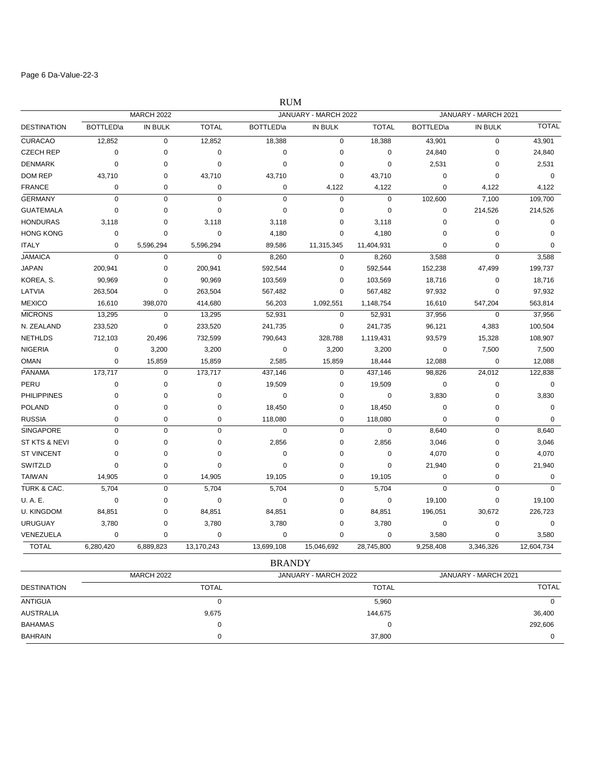### Page 6 Da-Value-22-3

|                    |                   |                   |                | <b>RUM</b>        |                      |                |                   |                      |              |  |
|--------------------|-------------------|-------------------|----------------|-------------------|----------------------|----------------|-------------------|----------------------|--------------|--|
|                    |                   | <b>MARCH 2022</b> |                |                   | JANUARY - MARCH 2022 |                |                   | JANUARY - MARCH 2021 |              |  |
| <b>DESTINATION</b> | <b>BOTTLED</b> \a | IN BULK           | <b>TOTAL</b>   | <b>BOTTLED</b> \a | IN BULK              | <b>TOTAL</b>   | <b>BOTTLED</b> \a | IN BULK              | <b>TOTAL</b> |  |
| <b>CURACAO</b>     | 12,852            | 0                 | 12,852         | 18,388            | $\mathbf 0$          | 18,388         | 43,901            | $\mathbf 0$          | 43,901       |  |
| <b>CZECH REP</b>   | $\mathbf 0$       | 0                 | $\mathbf 0$    | $\mathbf 0$       | $\mathbf 0$          | 0              | 24,840            | $\mathbf 0$          | 24,840       |  |
| <b>DENMARK</b>     | 0                 | 0                 | $\mathbf 0$    | $\mathbf 0$       | 0                    | $\mathbf 0$    | 2,531             | 0                    | 2,531        |  |
| <b>DOM REP</b>     | 43,710            | 0                 | 43,710         | 43,710            | $\mathbf 0$          | 43,710         | $\mathbf 0$       | 0                    | $\mathbf 0$  |  |
| <b>FRANCE</b>      | $\mathbf 0$       | 0                 | $\mathbf 0$    | $\mathbf 0$       | 4,122                | 4,122          | $\overline{0}$    | 4,122                | 4,122        |  |
| <b>GERMANY</b>     | $\mathbf 0$       | 0                 | $\mathbf 0$    | $\mathbf 0$       | $\pmb{0}$            | $\pmb{0}$      | 102,600           | 7,100                | 109,700      |  |
| <b>GUATEMALA</b>   | $\mathbf 0$       | $\overline{0}$    | $\overline{0}$ | $\overline{0}$    | $\mathbf 0$          | $\overline{0}$ | $\mathbf 0$       | 214,526              | 214,526      |  |
| <b>HONDURAS</b>    | 3,118             | $\mathbf 0$       | 3,118          | 3,118             | $\mathbf 0$          | 3,118          | $\mathbf 0$       | $\mathbf 0$          | $\mathbf 0$  |  |
| <b>HONG KONG</b>   | 0                 | 0                 | $\mathbf 0$    | 4,180             | $\mathbf 0$          | 4,180          | $\mathbf 0$       | 0                    | $\mathbf 0$  |  |
| <b>ITALY</b>       | $\mathbf 0$       | 5,596,294         | 5,596,294      | 89,586            | 11,315,345           | 11,404,931     | $\mathbf 0$       | $\mathbf 0$          | $\mathbf 0$  |  |
| <b>JAMAICA</b>     | $\mathbf 0$       | 0                 | $\mathbf 0$    | 8,260             | 0                    | 8,260          | 3,588             | $\mathbf 0$          | 3,588        |  |
| <b>JAPAN</b>       | 200,941           | 0                 | 200,941        | 592,544           | $\mathbf 0$          | 592,544        | 152,238           | 47,499               | 199,737      |  |
| KOREA, S.          | 90,969            | 0                 | 90,969         | 103,569           | 0                    | 103,569        | 18,716            | 0                    | 18,716       |  |
| LATVIA             | 263,504           | 0                 | 263,504        | 567,482           | $\mathbf 0$          | 567,482        | 97,932            | $\mathbf 0$          | 97,932       |  |
| <b>MEXICO</b>      | 16,610            | 398,070           | 414,680        | 56,203            | 1,092,551            | 1,148,754      | 16,610            | 547,204              | 563,814      |  |
| <b>MICRONS</b>     | 13,295            | 0                 | 13,295         | 52,931            | 0                    | 52,931         | 37,956            | $\mathbf 0$          | 37,956       |  |
| N. ZEALAND         | 233,520           | $\mathbf 0$       | 233,520        | 241,735           | $\mathsf 0$          | 241,735        | 96,121            | 4,383                | 100,504      |  |
| <b>NETHLDS</b>     | 712,103           | 20,496            | 732,599        | 790,643           | 328,788              | 1,119,431      | 93,579            | 15,328               | 108,907      |  |
| <b>NIGERIA</b>     | $\mathbf 0$       | 3,200             | 3,200          | 0                 | 3,200                | 3,200          | $\mathbf 0$       | 7,500                | 7,500        |  |
| <b>OMAN</b>        | $\mathbf 0$       | 15,859            | 15,859         | 2,585             | 15,859               | 18,444         | 12,088            | $\mathbf 0$          | 12,088       |  |
| <b>PANAMA</b>      | 173,717           | 0                 | 173,717        | 437,146           | 0                    | 437,146        | 98,826            | 24,012               | 122,838      |  |
| PERU               | $\mathbf 0$       | 0                 | $\mathbf 0$    | 19,509            | 0                    | 19,509         | $\mathbf 0$       | $\mathbf 0$          | $\mathbf 0$  |  |
| <b>PHILIPPINES</b> | 0                 | 0                 | 0              | 0                 | $\mathbf 0$          | $\pmb{0}$      | 3,830             | 0                    | 3,830        |  |
| <b>POLAND</b>      | $\mathbf 0$       | $\mathbf 0$       | $\mathbf 0$    | 18,450            | $\mathbf 0$          | 18,450         | $\mathbf 0$       | $\mathbf 0$          | $\mathbf 0$  |  |
| <b>RUSSIA</b>      | 0                 | 0                 | 0              | 118,080           | 0                    | 118,080        | $\mathbf 0$       | 0                    | $\mathbf 0$  |  |
| <b>SINGAPORE</b>   | $\mathbf 0$       | 0                 | $\mathbf 0$    | $\mathbf 0$       | $\mathsf 0$          | $\mathbf 0$    | 8,640             | $\mathbf 0$          | 8,640        |  |
| ST KTS & NEVI      | $\mathbf 0$       | 0                 | $\mathbf 0$    | 2,856             | $\mathbf 0$          | 2,856          | 3,046             | $\mathbf 0$          | 3,046        |  |
| <b>ST VINCENT</b>  | $\mathbf 0$       | 0                 | 0              | 0                 | $\mathbf 0$          | $\pmb{0}$      | 4,070             | 0                    | 4,070        |  |
| SWITZLD            | $\Omega$          | $\overline{0}$    | $\mathbf 0$    | $\mathbf 0$       | $\mathbf 0$          | $\overline{0}$ | 21,940            | 0                    | 21,940       |  |
| <b>TAIWAN</b>      | 14,905            | 0                 | 14,905         | 19,105            | 0                    | 19,105         | $\mathbf 0$       | 0                    | $\mathbf 0$  |  |
| TURK & CAC.        | 5,704             | 0                 | 5,704          | 5,704             | $\pmb{0}$            | 5,704          | $\mathbf 0$       | $\mathbf 0$          | $\Omega$     |  |
| <b>U.A.E.</b>      | $\mathbf 0$       | 0                 | $\mathbf 0$    | $\mathbf 0$       | $\mathbf 0$          | 0              | 19,100            | $\mathbf 0$          | 19,100       |  |
| <b>U. KINGDOM</b>  | 84,851            | 0                 | 84,851         | 84,851            | $\mathbf 0$          | 84,851         | 196,051           | 30,672               | 226,723      |  |
| <b>URUGUAY</b>     | 3,780             | 0                 | 3,780          | 3,780             | 0                    | 3,780          | 0                 | $\mathbf 0$          | $\mathbf 0$  |  |
| VENEZUELA          | 0                 | 0                 | 0              | 0                 | $\mathbf 0$          | 0              | 3,580             | 0                    | 3,580        |  |
| <b>TOTAL</b>       | 6,280,420         | 6,889,823         | 13,170,243     | 13,699,108        | 15,046,692           | 28,745,800     | 9,258,408         | 3,346,326            | 12,604,734   |  |

BRANDY

|                    | <b>MARCH 2022</b> | JANUARY - MARCH 2022 | JANUARY - MARCH 2021 |
|--------------------|-------------------|----------------------|----------------------|
| <b>DESTINATION</b> | <b>TOTAL</b>      | <b>TOTAL</b>         | <b>TOTAL</b>         |
| ANTIGUA            |                   | 5,960                | $\overline{0}$       |
| <b>AUSTRALIA</b>   | 9,675             | 144.675              | 36,400               |
| <b>BAHAMAS</b>     |                   |                      | 292,606              |
| <b>BAHRAIN</b>     |                   | 37.800               | 0                    |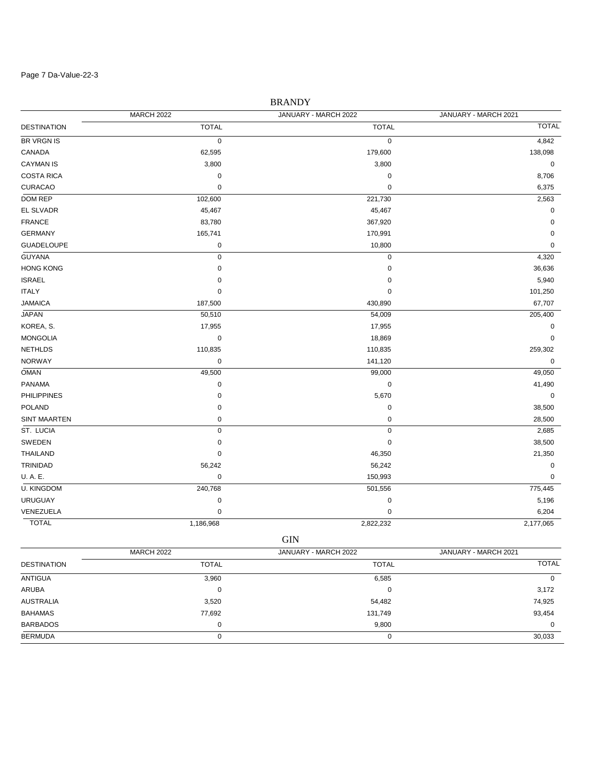#### Page 7 Da-Value-22-3

# DESTINATION TOTAL TOTAL TOTAL BRANDY MARCH 2022 JANUARY - MARCH 2022 JANUARY - MARCH 2021 BR VRGN IS  $0$  and  $0$  and  $0$  and  $0$  and  $0$  and  $4,842$ CANADA 62,595 179,600 138,098  $\text{CAYMAN IS} \quad \text{S} \quad \text{S} \quad \text{S} \quad \text{S} \quad \text{S} \quad \text{S} \quad \text{S} \quad \text{S} \quad \text{S} \quad \text{S} \quad \text{S} \quad \text{S} \quad \text{S} \quad \text{S} \quad \text{S} \quad \text{S} \quad \text{S} \quad \text{S} \quad \text{S} \quad \text{S} \quad \text{S} \quad \text{S} \quad \text{S} \quad \text{S} \quad \text{S} \quad \text{S} \quad \text{S} \quad \text{S} \quad \text{S} \quad \text{S} \quad$ COSTA RICA 0 0 8,706 CURACAO 0 0 6,375 DOM REP 102,600 221,730 2,563 EL SLVADR 45,467 45,467 0 FRANCE 83,780 367,920 0 GERMANY 165,741 170,991 0 GUADELOUPE 0 10,800 0 GUYANA 0 0 4,320  $\rm HONG$  KONG  $\rm 36,636$  $\,$  ISRAEL  $\,$  5,940  $\,$  5,940  $\,$  5,940  $\,$  5,940  $\,$  5,940  $\,$  5,940  $\,$  5,940  $\,$  5,940  $\,$  5,940  $\,$  5,940  $\,$  5,940  $\,$  5,940  $\,$  5,940  $\,$  5,940  $\,$  5,940  $\,$  5,940  $\,$  5,940  $\,$  5,940  $\,$  5,940 ITALY 0 0 101,250 JAMAICA 187,500 430,890 67,707 JAPAN 50,510 54,009 205,400 KOREA, S. 17,955 17,955 17,955 17,955 17,955 17,955 17,955 17,955 17,955 17,955 17,955 17,000 17,955 17,000 17,000 17,000 17,000 17,000 17,000 17,000 17,000 17,000 17,000 17,000 17,000 17,000 17,000 17,000 17,000 17,000 17 MONGOLIA 0 18,869 0 NETHLDS 110,835 110,835 259,302 NORWAY 0 141,120 0 OMAN 49,500 99,000 49,050 PANAMA 0 0 41,490 PHILIPPINES 0 5,670 0 POLAND 38,500 SINT MAARTEN 0 0 28,500 ST. LUCIA 0 0 2,685 SWEDEN 38,500 THAILAND 0 46,350 21,350 TRINIDAD 56,242 56,242 0 U. A. E. 0 150,993 0 U. KINGDOM 240,768 501,556 775,445 URUGUAY 0 0 5,196 VENEZUELA 0 0 6,204

TOTAL 1,186,968 2,822,232 2,177,065 GIN

|                    | <b>MARCH 2022</b> | JANUARY - MARCH 2022 | JANUARY - MARCH 2021 |  |
|--------------------|-------------------|----------------------|----------------------|--|
| <b>DESTINATION</b> | <b>TOTAL</b>      | <b>TOTAL</b>         | <b>TOTAL</b>         |  |
| ANTIGUA            | 3,960             | 6,585                | 0                    |  |
| ARUBA              | 0                 | 0                    | 3,172                |  |
| <b>AUSTRALIA</b>   | 3,520             | 54,482               | 74,925               |  |
| <b>BAHAMAS</b>     | 77,692            | 131,749              | 93,454               |  |
| <b>BARBADOS</b>    | 0                 | 9,800                | $\Omega$             |  |
| <b>BERMUDA</b>     |                   | O                    | 30,033               |  |
|                    |                   |                      |                      |  |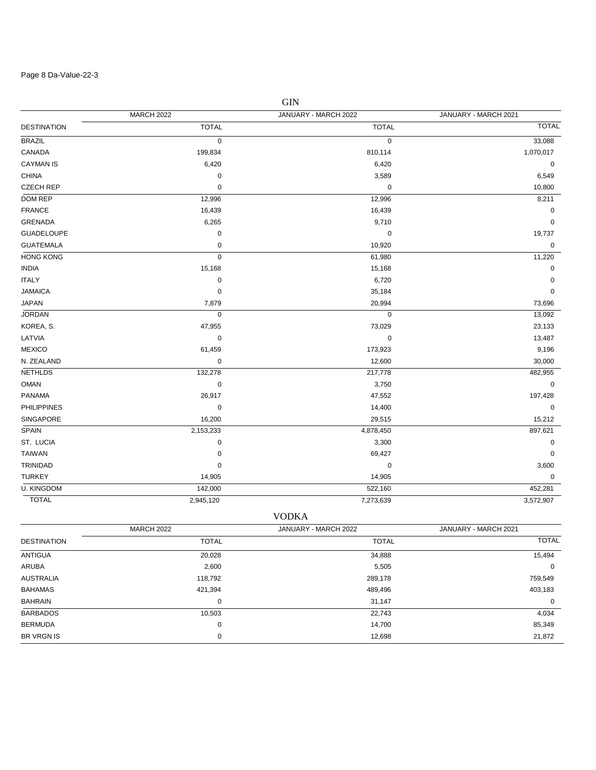### Page 8 Da-Value-22-3

| <b>GIN</b>         |                   |                      |                      |  |  |
|--------------------|-------------------|----------------------|----------------------|--|--|
|                    | <b>MARCH 2022</b> | JANUARY - MARCH 2022 | JANUARY - MARCH 2021 |  |  |
| <b>DESTINATION</b> | <b>TOTAL</b>      | <b>TOTAL</b>         | <b>TOTAL</b>         |  |  |
| <b>BRAZIL</b>      | $\mathbf 0$       | 0                    | 33,088               |  |  |
| CANADA             | 199,834           | 810,114              | 1,070,017            |  |  |
| <b>CAYMAN IS</b>   | 6,420             | 6,420                | 0                    |  |  |
| <b>CHINA</b>       | $\pmb{0}$         | 3,589                | 6,549                |  |  |
| <b>CZECH REP</b>   | $\mathbf 0$       | 0                    | 10,800               |  |  |
| DOM REP            | 12,996            | 12,996               | 8,211                |  |  |
| <b>FRANCE</b>      | 16,439            | 16,439               | 0                    |  |  |
| <b>GRENADA</b>     | 6,265             | 9,710                | 0                    |  |  |
| <b>GUADELOUPE</b>  | $\pmb{0}$         | $\pmb{0}$            | 19,737               |  |  |
| <b>GUATEMALA</b>   | 0                 | 10,920               | 0                    |  |  |
| <b>HONG KONG</b>   | $\pmb{0}$         | 61,980               | 11,220               |  |  |
| <b>INDIA</b>       | 15,168            | 15,168               | 0                    |  |  |
| <b>ITALY</b>       | $\pmb{0}$         | 6,720                | 0                    |  |  |
| <b>JAMAICA</b>     | $\mathbf 0$       | 35,184               | $\mathbf 0$          |  |  |
| <b>JAPAN</b>       | 7,879             | 20,994               | 73,696               |  |  |
| <b>JORDAN</b>      | $\mathbf 0$       | 0                    | 13,092               |  |  |
| KOREA, S.          | 47,955            | 73,029               | 23,133               |  |  |
| LATVIA             | $\mathbf 0$       | $\mathbf 0$          | 13,487               |  |  |
| <b>MEXICO</b>      | 61,459            | 173,923              | 9,196                |  |  |
| N. ZEALAND         | $\pmb{0}$         | 12,600               | 30,000               |  |  |
| <b>NETHLDS</b>     | 132,278           | 217,778              | 482,955              |  |  |
| <b>OMAN</b>        | $\pmb{0}$         | 3,750                | $\mathbf 0$          |  |  |
| <b>PANAMA</b>      | 26,917            | 47,552               | 197,428              |  |  |
| <b>PHILIPPINES</b> | $\pmb{0}$         | 14,400               | $\mathbf 0$          |  |  |
| SINGAPORE          | 16,200            | 29,515               | 15,212               |  |  |
| <b>SPAIN</b>       | 2,153,233         | 4,878,450            | 897,621              |  |  |
| ST. LUCIA          | $\mathbf 0$       | 3,300                | 0                    |  |  |
| <b>TAIWAN</b>      | $\mathbf 0$       | 69,427               | 0                    |  |  |
| <b>TRINIDAD</b>    | $\mathbf 0$       | $\mathbf 0$          | 3,600                |  |  |
| <b>TURKEY</b>      | 14,905            | 14,905               | $\mathbf 0$          |  |  |
| <b>U. KINGDOM</b>  | 142,000           | 522,160              | 452,281              |  |  |
| <b>TOTAL</b>       | 2,945,120         | 7,273,639            | 3,572,907            |  |  |

| <b>VODKA</b>       |                   |                      |                      |  |  |  |
|--------------------|-------------------|----------------------|----------------------|--|--|--|
|                    | <b>MARCH 2022</b> | JANUARY - MARCH 2022 | JANUARY - MARCH 2021 |  |  |  |
| <b>DESTINATION</b> | <b>TOTAL</b>      | <b>TOTAL</b>         | <b>TOTAL</b>         |  |  |  |
| <b>ANTIGUA</b>     | 20,028            | 34,888               | 15,494               |  |  |  |
| ARUBA              | 2,600             | 5,505                | 0                    |  |  |  |
| <b>AUSTRALIA</b>   | 118,792           | 289,178              | 759,549              |  |  |  |
| <b>BAHAMAS</b>     | 421,394           | 489,496              | 403,183              |  |  |  |
| <b>BAHRAIN</b>     | 0                 | 31,147               | 0                    |  |  |  |
| <b>BARBADOS</b>    | 10,503            | 22,743               | 4,034                |  |  |  |
| <b>BERMUDA</b>     | 0                 | 14,700               | 85,349               |  |  |  |
| <b>BR VRGN IS</b>  | 0                 | 12,698               | 21,872               |  |  |  |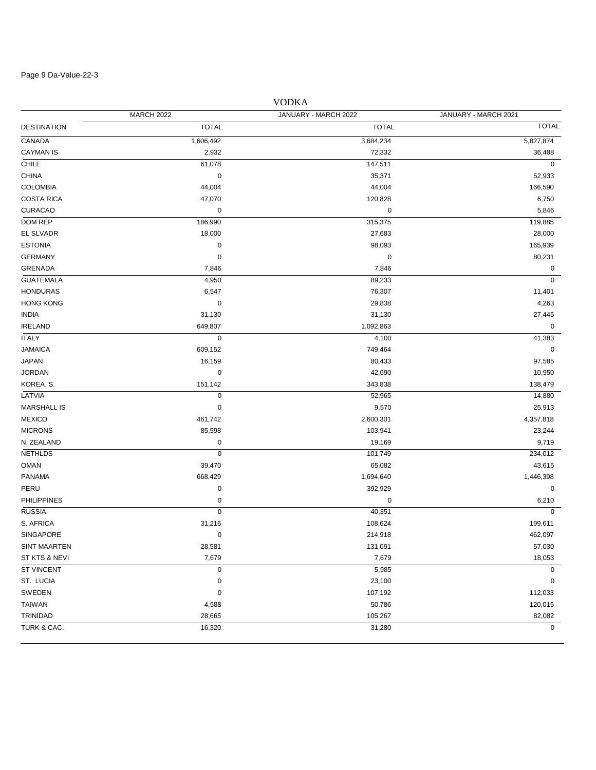### Page 9 Da-Value-22-3

|                    |                   | <u>VUDNA</u>         |                      |
|--------------------|-------------------|----------------------|----------------------|
|                    | <b>MARCH 2022</b> | JANUARY - MARCH 2022 | JANUARY - MARCH 2021 |
| DESTINATION        | <b>TOTAL</b>      | <b>TOTAL</b>         | <b>TOTAL</b>         |
| CANADA             | 1,606,492         | 3,684,234            | 5,827,874            |
| CAYMAN IS          | 2,932             | 72,332               | 36,488               |
| CHILE              | 61,078            | 147,511              | $\mathbf 0$          |
| CHINA              | 0                 | 35,371               | 52,933               |
| COLOMBIA           | 44,004            | 44,004               | 166,590              |
| <b>COSTA RICA</b>  | 47,070            | 120,828              | 6,750                |
| <b>CURACAO</b>     | 0                 | 0                    | 5,846                |
| DOM REP            | 186,990           | 315,375              | 119,885              |
| EL SLVADR          | 18,000            | 27,683               | 28,000               |
| <b>ESTONIA</b>     | 0                 | 98,093               | 165,939              |
| GERMANY            | $\mathbf 0$       | 0                    | 80,231               |
| GRENADA            | 7,846             | 7,846                | 0                    |
| <b>GUATEMALA</b>   | 4,950             | 89,233               | $\mathbf 0$          |
| <b>HONDURAS</b>    | 6,547             | 76,307               | 11,401               |
| <b>HONG KONG</b>   | $\pmb{0}$         | 29,838               | 4,263                |
| INDIA              | 31,130            | 31,130               | 27,445               |
| <b>IRELAND</b>     | 649,807           | 1,092,863            | 0                    |
| <b>ITALY</b>       | $\pmb{0}$         | 4,100                | 41,383               |
| JAMAICA            | 609,152           | 749,464              | 0                    |
| JAPAN              | 16,159            | 80,433               | 97,585               |
| JORDAN             | 0                 | 42,690               | 10,950               |
| KOREA, S.          | 151,142           | 343,838              | 138,479              |
| LATVIA             | 0                 | 52,965               | 14,880               |
| MARSHALL IS        | 0                 | 9,570                | 25,913               |
| <b>MEXICO</b>      | 461,742           | 2,600,301            | 4,357,818            |
| <b>MICRONS</b>     | 85,598            | 103,941              | 23,244               |
| N. ZEALAND         | 0                 | 19,169               | 9,719                |
| NETHLDS            | $\mathbf 0$       | 101,749              | 234,012              |
| OMAN               | 39,470            | 65,082               | 43,615               |
| PANAMA             | 668,429           | 1,694,640            | 1,446,398            |
| PERU               | $\pmb{0}$         | 392,929              | 0                    |
| <b>PHILIPPINES</b> | 0                 | 0                    | 6,210                |
| <b>RUSSIA</b>      | $\mathbf 0$       | 40,351               | $\mathbf 0$          |
| S. AFRICA          | 31,216            | 108,624              | 199,611              |
| SINGAPORE          | 0                 | 214,918              | 462,097              |
| SINT MAARTEN       | 28,581            | 131,091              | 57,030               |
| ST KTS & NEVI      | 7,679             | 7,679                | 18,053               |
| <b>ST VINCENT</b>  | $\pmb{0}$         | 5,985                | 0                    |
| ST. LUCIA          | 0                 | 23,100               | 0                    |
| SWEDEN             | 0                 | 107,192              | 112,033              |
| TAIWAN             | 4,588             | 50,786               | 120,015              |
| TRINIDAD           | 28,665            | 105,267              | 82,082               |
| TURK & CAC.        | 16,320            | 31,280               | $\mathbf 0$          |

# VODKA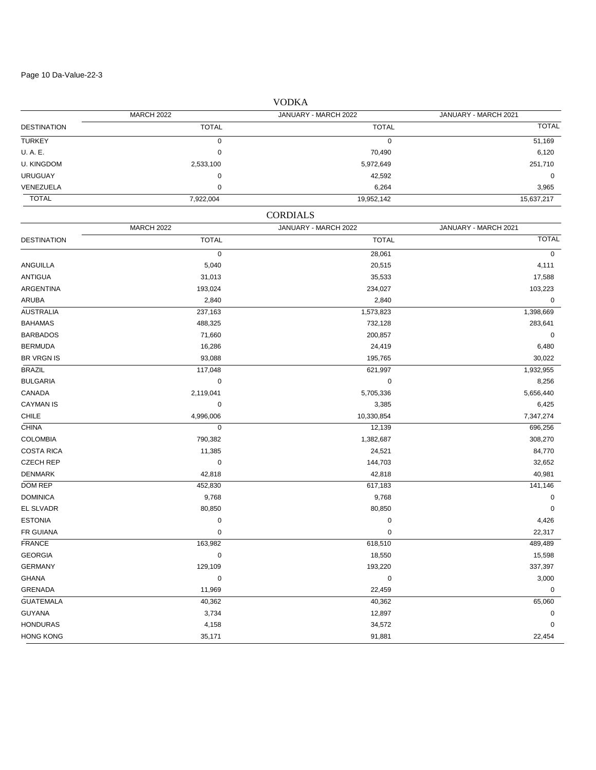Page 10 Da-Value-22-3

DESTINATION TOTAL TOTAL TOTAL MARCH 2022 JANUARY - MARCH 2022 JANUARY - MARCH 2021 TURKEY 0 0 51,169 U. A. E. 0 70,490 6,120 U. KINGDOM 251,710 2653,100 2,533,100 251,710 2,533,100 251,710 2,5972,649 251,710 2,5972,649 251,710 2,5972,649 URUGUAY 0 42,592 0 VENEZUELA 0 6,264 3,965 TOTAL 7,922,004 19,952,142 15,637,217 DESTINATION TOTAL TOTAL TOTAL CORDIALS MARCH 2022 JANUARY - MARCH 2022 JANUARY - MARCH 2021  $28,061$  0 ANGUILLA 5,040 20,515 4,111 ANTIGUA 31,013 35,533 17,588 ARGENTINA 193,024 234,027 103,223 ARUBA 2,840 2,840 0 AUSTRALIA 237,163 1,573,823 1,398,669 BAHAMAS 488,325 732,128 283,641 BARBADOS 71,660 200,857 0 BERMUDA 16,286 24,419 6,480 BR VRGN IS 88 195,765 196,022 196,023 196,023 197,000 197,000 198,765 199,000 199,765 199,0022 199,0022 199,002 BRAZIL 117,048 621,997 1,932,955 BULGARIA 0 0 8,256 CANADA 2,119,041 5,705,336 5,656,440  $\text{CAYMAN IS} \quad \text{S} \quad \text{S} \quad \text{S} \quad \text{S} \quad \text{S} \quad \text{S} \quad \text{S} \quad \text{S} \quad \text{S} \quad \text{S} \quad \text{S} \quad \text{S} \quad \text{S} \quad \text{S} \quad \text{S} \quad \text{S} \quad \text{S} \quad \text{S} \quad \text{S} \quad \text{S} \quad \text{S} \quad \text{S} \quad \text{S} \quad \text{S} \quad \text{S} \quad \text{S} \quad \text{S} \quad \text{S} \quad \text{S} \quad \text{S} \quad$ CHILE 4,996,006 10,330,854 7,347,274 CHINA 0 12,139 696,256 COLOMBIA 790,382 1,382,687 308,270 COSTA RICA 11,385 24,521 84,770 CZECH REP 0 144,703 32,652 DENMARK 42,818 42,818 40,981 DOM REP 452,830 617,183 141,146 DOMINICA 9,768 9,768 0 EL SLVADR 80,850 80,850 0 ESTONIA 0 0 4,426 FR GUIANA  $\qquad \qquad \qquad 0 \qquad \qquad \qquad 0 \qquad \qquad \qquad 22{,}317$ FRANCE 163,982 618,510 489,489 GEORGIA 0 18,550 15,598 GERMANY 129,109 193,220 337,397 GHANA 0 0 3,000 GRENADA 11,969 22,459 0 GUATEMALA 40,362 40,362 65,060  $3,734$   $3,734$   $12,897$   $0$ HONDURAS 4,158 34,572 0 HONG KONG 35,171 91,881 22,454

VODKA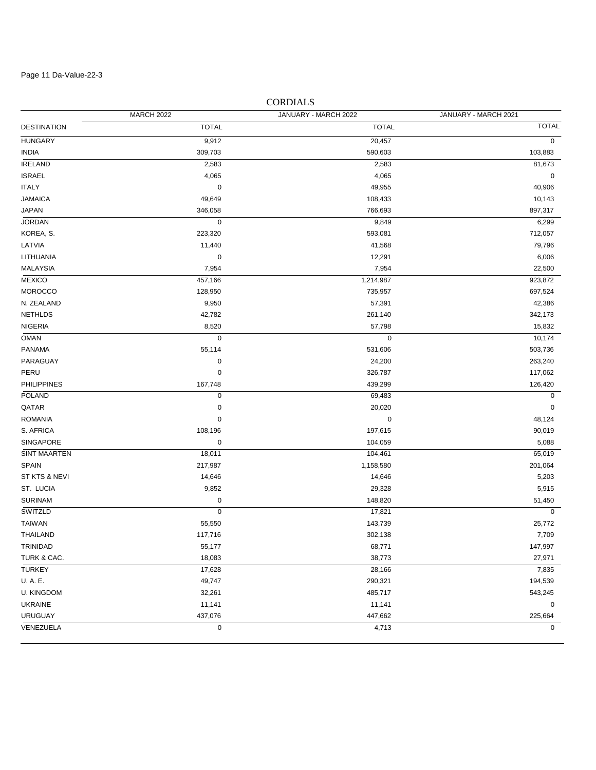Page 11 Da-Value-22-3

# DESTINATION TOTAL TOTAL TOTAL MARCH 2022 JANUARY - MARCH 2022 JANUARY - MARCH 2021 HUNGARY 9,912 20,457 0 INDIA 309,703 590,603 103,883 IRELAND 2,583 2,583 81,673 المال المسابق المسابق المسابق المسابق المسابق المسابق المسابق المسابق المسابق المسابق المسابق المسابق المسابق ا ITALY 0 49,955 40,906 108,433 مليون المستخدم المستخدم المستخدم المستخدم المستخدم المستخدم المستخدم المستخدم المستخدم المستخدم المستخدم المستخدم المستخدم المستخدم المستخدم المستخدم المستخدم المستخدم المستخدم المستخدم المستخدم المستخدم المستخدم JAPAN 346,058 766,693 897,317 JORDAN 0 9,849 6,299 KOREA, S. 223,320 593,081 712,057 LATVIA 11,440 41,568 79,796 LITHUANIA 0 12,291 6,006 MALAYSIA 7,954 7,954 22,500 MEXICO 457,166 1,214,987 923,872 MOROCCO 128,950 735,957 697,524 N. ZEALAND 9,950 57,391 42,386 NETHLDS 42,782 261,140 342,173 NIGERIA 8,520 57,798 15,832 OMAN 0 0 10,174 PANAMA 55,114 531,606 503,736 PARAGUAY 0 24,200 263,240 PERU 0 326,787 117,062 PHILIPPINES 167,748 439,299 126,420 POLAND 0 69,483 0  $\begin{array}{ccccccc}\textsf{QATAR} & & & & & 0 & & & & 20,020 & & & & & & 0\end{array}$ ROMANIA 0 0 48,124 S. AFRICA 108,196 197,615 90,019 SINGAPORE 0 104,059 5,088 SINT MAARTEN 18,011 104,461 65,019 SPAIN 217,987 201,064 201,064 217,987 201,064 201,064 201,064 201,064 201,064 ST KTS & NEVI 14,646 14,646 5,203 ST. LUCIA 9,852 29,328 5,915 SURINAM 0 148,820 51,450 SWITZLD 0 17,821 0 TAIWAN 55,550 143,739 25,772 THAILAND 117,716 302,138 7,709 TRINIDAD 55,177 68,771 147,997 TURK & CAC. 18,083 38,773 27,971 TURKEY 17,628 28,166 7,835 U. A. E. 49,747 290,321 194,539 U. KINGDOM 32,261 485,717 543,245 UKRAINE 11,141 11,141 0 URUGUAY 437,076 447,662 225,664 VENEZUELA 0 4,713 0

### CORDIALS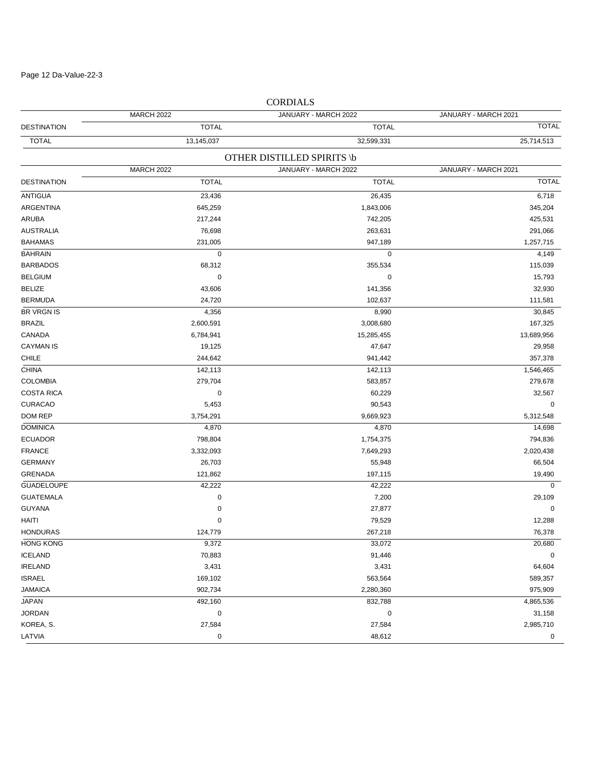Page 12 Da-Value-22-3

|                    |                   | COND 11 NO                 |                      |
|--------------------|-------------------|----------------------------|----------------------|
|                    | <b>MARCH 2022</b> | JANUARY - MARCH 2022       | JANUARY - MARCH 2021 |
| <b>DESTINATION</b> | <b>TOTAL</b>      | <b>TOTAL</b>               | <b>TOTAL</b>         |
| <b>TOTAL</b>       | 13,145,037        | 32,599,331                 | 25,714,513           |
|                    |                   | OTHER DISTILLED SPIRITS \b |                      |
|                    | <b>MARCH 2022</b> | JANUARY - MARCH 2022       | JANUARY - MARCH 2021 |
| <b>DESTINATION</b> | <b>TOTAL</b>      | <b>TOTAL</b>               | <b>TOTAL</b>         |
| <b>ANTIGUA</b>     | 23,436            | 26,435                     | 6,718                |
| ARGENTINA          | 645,259           | 1,843,006                  | 345,204              |
| ARUBA              | 217,244           | 742,205                    | 425,531              |
| <b>AUSTRALIA</b>   | 76,698            | 263,631                    | 291,066              |
| <b>BAHAMAS</b>     | 231,005           | 947,189                    | 1,257,715            |
| <b>BAHRAIN</b>     | $\mathbf 0$       | $\pmb{0}$                  | 4,149                |
| <b>BARBADOS</b>    | 68,312            | 355,534                    | 115,039              |
| <b>BELGIUM</b>     | $\mathbf 0$       | $\pmb{0}$                  | 15,793               |
| <b>BELIZE</b>      | 43,606            | 141,356                    | 32,930               |
| <b>BERMUDA</b>     | 24,720            | 102,637                    | 111,581              |
| <b>BR VRGN IS</b>  | 4,356             | 8,990                      | 30,845               |
| <b>BRAZIL</b>      | 2,600,591         | 3,008,680                  | 167,325              |
| CANADA             | 6,784,941         | 15,285,455                 | 13,689,956           |
| <b>CAYMAN IS</b>   | 19,125            | 47,647                     | 29,958               |
| <b>CHILE</b>       | 244,642           | 941,442                    | 357,378              |
| <b>CHINA</b>       | 142,113           | 142,113                    | 1,546,465            |
| <b>COLOMBIA</b>    | 279,704           | 583,857                    | 279,678              |
| <b>COSTA RICA</b>  | 0                 | 60,229                     | 32,567               |
| <b>CURACAO</b>     | 5,453             | 90,543                     | 0                    |
| DOM REP            | 3,754,291         | 9,669,923                  | 5,312,548            |
| <b>DOMINICA</b>    | 4,870             | 4,870                      | 14,698               |
| <b>ECUADOR</b>     | 798,804           | 1,754,375                  | 794,836              |
| <b>FRANCE</b>      | 3,332,093         | 7,649,293                  | 2,020,438            |
| <b>GERMANY</b>     | 26,703            | 55,948                     | 66,504               |
| <b>GRENADA</b>     | 121,862           | 197,115                    | 19,490               |
| <b>GUADELOUPE</b>  | 42,222            | 42,222                     | $\mathbf 0$          |
| <b>GUATEMALA</b>   | 0                 | 7,200                      | 29,109               |
| <b>GUYANA</b>      | $\pmb{0}$         | 27,877                     | 0                    |
| HAITI              | $\pmb{0}$         | 79,529                     | 12,288               |
| <b>HONDURAS</b>    | 124,779           | 267,218                    | 76,378               |
| <b>HONG KONG</b>   | 9,372             | 33,072                     | 20,680               |
| <b>ICELAND</b>     | 70,883            | 91,446                     | 0                    |
| <b>IRELAND</b>     | 3,431             | 3,431                      | 64,604               |
| <b>ISRAEL</b>      | 169,102           | 563,564                    | 589,357              |
| <b>JAMAICA</b>     | 902,734           | 2,280,360                  | 975,909              |
| <b>JAPAN</b>       | 492,160           | 832,788                    | 4,865,536            |
| <b>JORDAN</b>      | $\pmb{0}$         | 0                          | 31,158               |
| KOREA, S.          | 27,584            | 27,584                     | 2,985,710            |
| LATVIA             | $\pmb{0}$         | 48,612                     | 0                    |
|                    |                   |                            |                      |

CORDIALS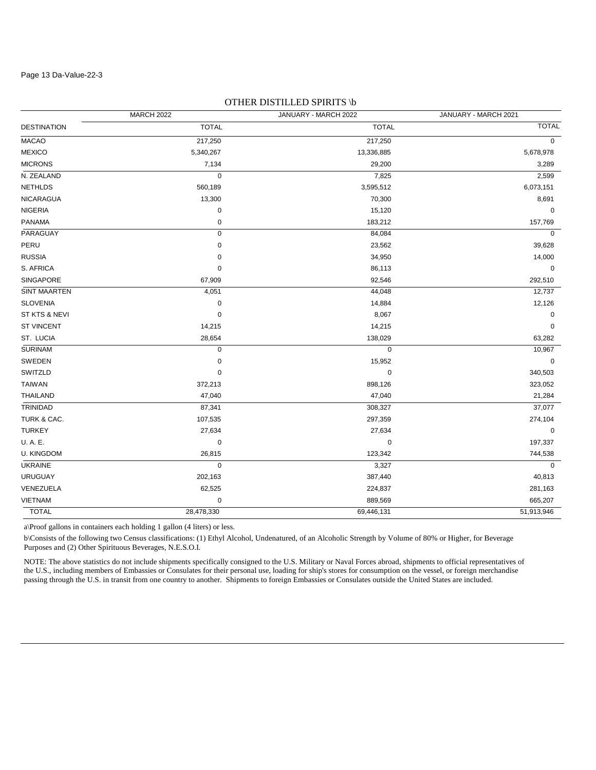#### Page 13 Da-Value-22-3

|                     | <b>MARCH 2022</b> | JANUARY - MARCH 2022 | JANUARY - MARCH 2021 |
|---------------------|-------------------|----------------------|----------------------|
| <b>DESTINATION</b>  | <b>TOTAL</b>      | <b>TOTAL</b>         | <b>TOTAL</b>         |
| <b>MACAO</b>        | 217,250           | 217,250              | $\mathbf 0$          |
| <b>MEXICO</b>       | 5,340,267         | 13,336,885           | 5,678,978            |
| <b>MICRONS</b>      | 7,134             | 29,200               | 3,289                |
| N. ZEALAND          | $\mathbf 0$       | 7,825                | 2,599                |
| <b>NETHLDS</b>      | 560,189           | 3,595,512            | 6,073,151            |
| NICARAGUA           | 13,300            | 70,300               | 8,691                |
| <b>NIGERIA</b>      | $\pmb{0}$         | 15,120               | 0                    |
| <b>PANAMA</b>       | 0                 | 183,212              | 157,769              |
| PARAGUAY            | $\mathbf 0$       | 84,084               | $\mathbf 0$          |
| PERU                | 0                 | 23,562               | 39,628               |
| <b>RUSSIA</b>       | 0                 | 34,950               | 14,000               |
| S. AFRICA           | 0                 | 86,113               | 0                    |
| SINGAPORE           | 67,909            | 92,546               | 292,510              |
| <b>SINT MAARTEN</b> | 4,051             | 44,048               | 12,737               |
| <b>SLOVENIA</b>     | $\pmb{0}$         | 14,884               | 12,126               |
| ST KTS & NEVI       | $\pmb{0}$         | 8,067                | 0                    |
| <b>ST VINCENT</b>   | 14,215            | 14,215               | 0                    |
| ST. LUCIA           | 28,654            | 138,029              | 63,282               |
| <b>SURINAM</b>      | $\pmb{0}$         | 0                    | 10,967               |
| SWEDEN              | 0                 | 15,952               | 0                    |
| SWITZLD             | 0                 | $\pmb{0}$            | 340,503              |
| <b>TAIWAN</b>       | 372,213           | 898,126              | 323,052              |
| <b>THAILAND</b>     | 47,040            | 47,040               | 21,284               |
| TRINIDAD            | 87,341            | 308,327              | 37,077               |
| TURK & CAC.         | 107,535           | 297,359              | 274,104              |
| <b>TURKEY</b>       | 27,634            | 27,634               | 0                    |
| U.A.E.              | $\pmb{0}$         | 0                    | 197,337              |
| <b>U. KINGDOM</b>   | 26,815            | 123,342              | 744,538              |
| <b>UKRAINE</b>      | $\mathbf 0$       | 3,327                | $\mathbf 0$          |
| <b>URUGUAY</b>      | 202,163           | 387,440              | 40,813               |
| VENEZUELA           | 62,525            | 224,837              | 281,163              |
| <b>VIETNAM</b>      | 0                 | 889,569              | 665,207              |
| <b>TOTAL</b>        | 28,478,330        | 69,446,131           | 51,913,946           |

## OTHER DISTILLED SPIRITS \b

a\Proof gallons in containers each holding 1 gallon (4 liters) or less.

b\Consists of the following two Census classifications: (1) Ethyl Alcohol, Undenatured, of an Alcoholic Strength by Volume of 80% or Higher, for Beverage Purposes and (2) Other Spirituous Beverages, N.E.S.O.I.

NOTE: The above statistics do not include shipments specifically consigned to the U.S. Military or Naval Forces abroad, shipments to official representatives of the U.S., including members of Embassies or Consulates for their personal use, loading for ship's stores for consumption on the vessel, or foreign merchandise passing through the U.S. in transit from one country to another. Shipments to foreign Embassies or Consulates outside the United States are included.